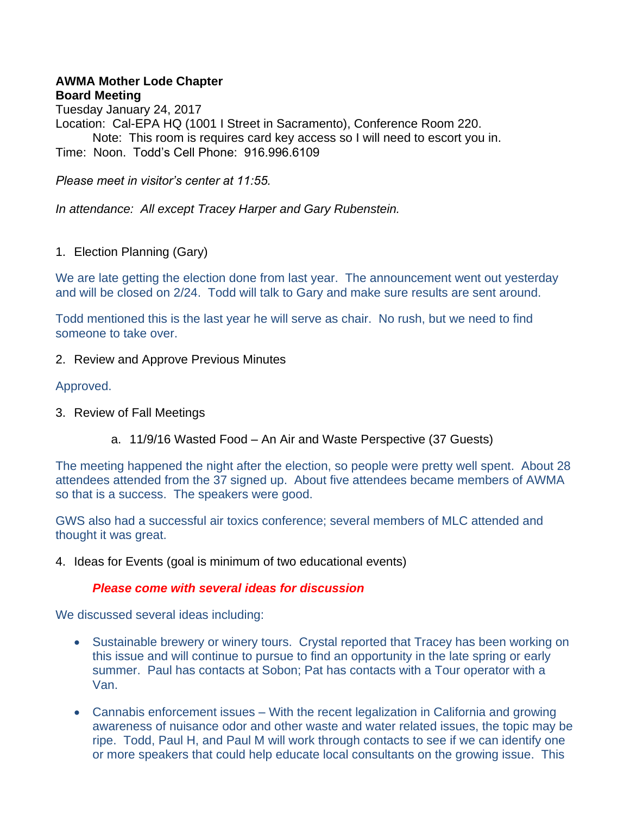## **AWMA Mother Lode Chapter Board Meeting**

Tuesday January 24, 2017 Location: Cal-EPA HQ (1001 I Street in Sacramento), Conference Room 220. Note: This room is requires card key access so I will need to escort you in. Time: Noon. Todd's Cell Phone: 916.996.6109

*Please meet in visitor's center at 11:55.* 

*In attendance: All except Tracey Harper and Gary Rubenstein.* 

1. Election Planning (Gary)

We are late getting the election done from last year. The announcement went out yesterday and will be closed on 2/24. Todd will talk to Gary and make sure results are sent around.

Todd mentioned this is the last year he will serve as chair. No rush, but we need to find someone to take over.

2. Review and Approve Previous Minutes

# Approved.

- 3. Review of Fall Meetings
	- a. 11/9/16 Wasted Food An Air and Waste Perspective (37 Guests)

The meeting happened the night after the election, so people were pretty well spent. About 28 attendees attended from the 37 signed up. About five attendees became members of AWMA so that is a success. The speakers were good.

GWS also had a successful air toxics conference; several members of MLC attended and thought it was great.

4. Ideas for Events (goal is minimum of two educational events)

## *Please come with several ideas for discussion*

We discussed several ideas including:

- Sustainable brewery or winery tours. Crystal reported that Tracey has been working on this issue and will continue to pursue to find an opportunity in the late spring or early summer. Paul has contacts at Sobon; Pat has contacts with a Tour operator with a Van.
- Cannabis enforcement issues With the recent legalization in California and growing awareness of nuisance odor and other waste and water related issues, the topic may be ripe. Todd, Paul H, and Paul M will work through contacts to see if we can identify one or more speakers that could help educate local consultants on the growing issue. This